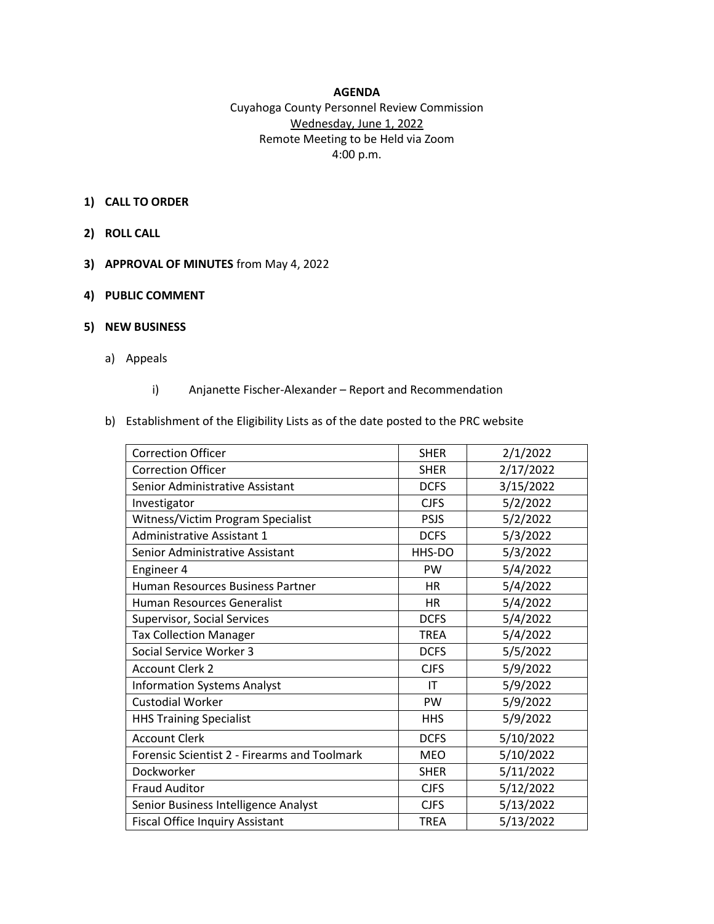## **AGENDA**

# Cuyahoga County Personnel Review Commission Wednesday, June 1, 2022 Remote Meeting to be Held via Zoom 4:00 p.m.

## **1) CALL TO ORDER**

- **2) ROLL CALL**
- **3) APPROVAL OF MINUTES** from May 4, 2022
- **4) PUBLIC COMMENT**

#### **5) NEW BUSINESS**

- a) Appeals
	- i) Anjanette Fischer-Alexander Report and Recommendation

#### b) Establishment of the Eligibility Lists as of the date posted to the PRC website

| <b>Correction Officer</b>                    | <b>SHER</b> | 2/1/2022  |
|----------------------------------------------|-------------|-----------|
| <b>Correction Officer</b>                    | <b>SHER</b> | 2/17/2022 |
| Senior Administrative Assistant              | <b>DCFS</b> | 3/15/2022 |
| Investigator                                 | <b>CJFS</b> | 5/2/2022  |
| Witness/Victim Program Specialist            | <b>PSJS</b> | 5/2/2022  |
| <b>Administrative Assistant 1</b>            | <b>DCFS</b> | 5/3/2022  |
| Senior Administrative Assistant              | HHS-DO      | 5/3/2022  |
| Engineer 4                                   | <b>PW</b>   | 5/4/2022  |
| Human Resources Business Partner             | <b>HR</b>   | 5/4/2022  |
| Human Resources Generalist                   | <b>HR</b>   | 5/4/2022  |
| Supervisor, Social Services                  | <b>DCFS</b> | 5/4/2022  |
| <b>Tax Collection Manager</b>                | TREA        | 5/4/2022  |
| Social Service Worker 3                      | <b>DCFS</b> | 5/5/2022  |
| <b>Account Clerk 2</b>                       | <b>CJFS</b> | 5/9/2022  |
| <b>Information Systems Analyst</b>           | IT          | 5/9/2022  |
| <b>Custodial Worker</b>                      | PW          | 5/9/2022  |
| <b>HHS Training Specialist</b>               | <b>HHS</b>  | 5/9/2022  |
| <b>Account Clerk</b>                         | <b>DCFS</b> | 5/10/2022 |
| Forensic Scientist 2 - Firearms and Toolmark | <b>MEO</b>  | 5/10/2022 |
| Dockworker                                   | <b>SHER</b> | 5/11/2022 |
| <b>Fraud Auditor</b>                         | <b>CJFS</b> | 5/12/2022 |
| Senior Business Intelligence Analyst         | <b>CJFS</b> | 5/13/2022 |
| <b>Fiscal Office Inquiry Assistant</b>       | <b>TREA</b> | 5/13/2022 |